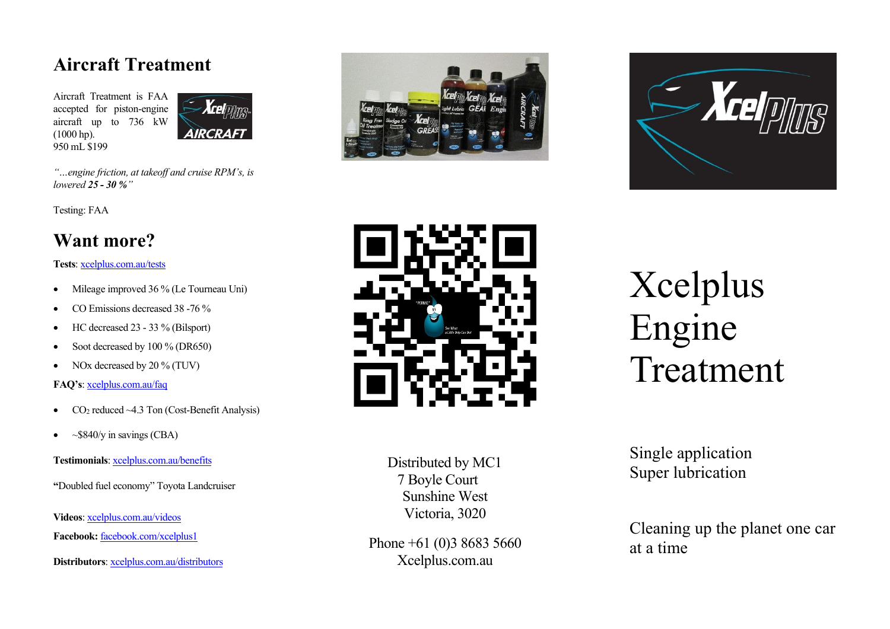### **Aircraft Treatment**

Aircraft Treatment is FAA accepted for piston-engine aircraft up to 736 kW (1000 hp). 950 mL \$199



*"…engine friction, at takeoff and cruise RPM's, is lowered 25 - 30 %"*

Testing: FAA

## **Want more?**

**Tests**: [xcelplus.com.au/tests](http://xcelplus.com.au/tests.htm)

- Mileage improved 36 % (Le Tourneau Uni)
- CO Emissions decreased 38 -76 %
- HC decreased 23 33 % (Bilsport)
- Soot decreased by 100 % (DR650)
- NOx decreased by 20 % (TUV)

**FAQ's**[: xcelplus.com.au/faq](http://xcelplus.com.au/faq.htm)

- CO<sub>2</sub> reduced  $\sim$  4.3 Ton (Cost-Benefit Analysis)
- $\sim$  \$840/y in savings (CBA)

**Testimonials**[: xcelplus.com.au/benefits](http://xcelplus.com.au/benefits.htm)

**"**Doubled fuel economy" Toyota Landcruiser

**Videos**[: xcelplus.com.au/videos](http://xcelplus.com.au/videos.htm)

**Facebook:** [facebook.com/xcelplus1](http://www.facebook.com/xcelplus1/)

**Distributors**: [xcelplus.com.au/distributors](http://xcelplus.com.au/distributors.htm)







Distributed by MC1 7 Boyle Court Sunshine West Victoria, 3020

Phone +61 (0)3 8683 5660 Xcelplus.com.au

Xcelplus Engine Treatment

Single application Super lubrication

Cleaning up the planet one car at a time